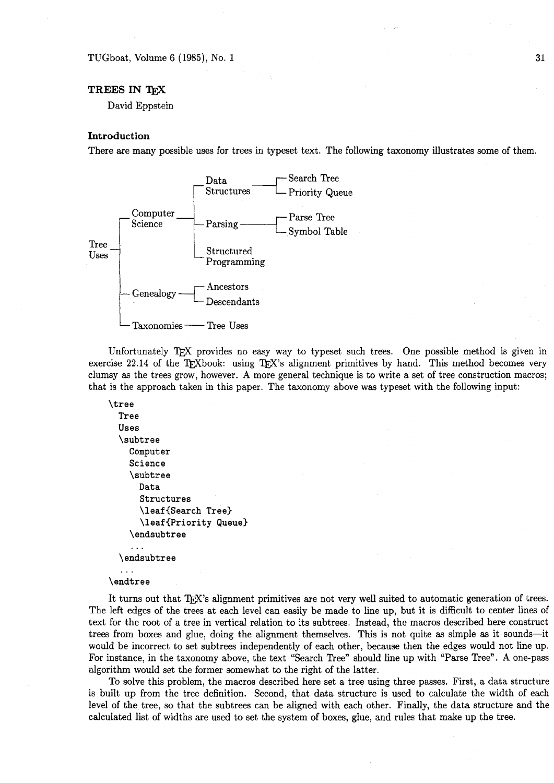TUGboat, Volume 6 **(1985),** No. **1** 

# **TREES IN T<sub>R</sub>X**

David Eppstein

#### **Introduction**

There are many possible uses for trees in typeset text. The following taxonomy illustrates some of them.



Unfortunately T<sub>F</sub>X provides no easy way to typeset such trees. One possible method is given in exercise 22.14 of the T<sub>F</sub>Xbook: using T<sub>F</sub>X's alignment primitives by hand. This method becomes very clumsy as the trees grow, however. A more general technique is to write a set of tree construction macros; that is the approach taken in this paper. The taxonomy above was typeset with the following input:

```
\tree 
  Tree 
  Uses 
  \subtree 
    Computer 
     Science 
     \subtree 
       Data 
       Structures 
       \leaf{Search Tree) 
       \leaf {Priority Queue3 
     \endsubtree 
     \ddotsc\endsubtree
  \ddotsc
```
\endtree

It turns out that T<sub>F</sub>X's alignment primitives are not very well suited to automatic generation of trees. The left edges of the trees at each level can easily be made to line up, but it is difficult to center lines of text for the root of a tree in vertical relation to its subtrees. Instead, the macros described here construct trees from boxes and glue, doing the alignment themselves. This is not quite as simple as it sounds-it would be incorrect to set subtrees independently of each other, because then the edges would not line up. For instance, in the taxonomy above, the text "Search Tree" should line up with "Parse Tree". A one-pass algorithm would set the former somewhat to the right of the latter.

To solve this problem, the macros described here set a tree using three passes. First, a data structure is built up from the tree definition. Second, that data structure is used to calculate the width of each level of the tree, so that the subtrees can be aligned with each other. Finally, the data structure and the calculated list of widths are used to set the system of boxes, glue, and rules that make up the tree.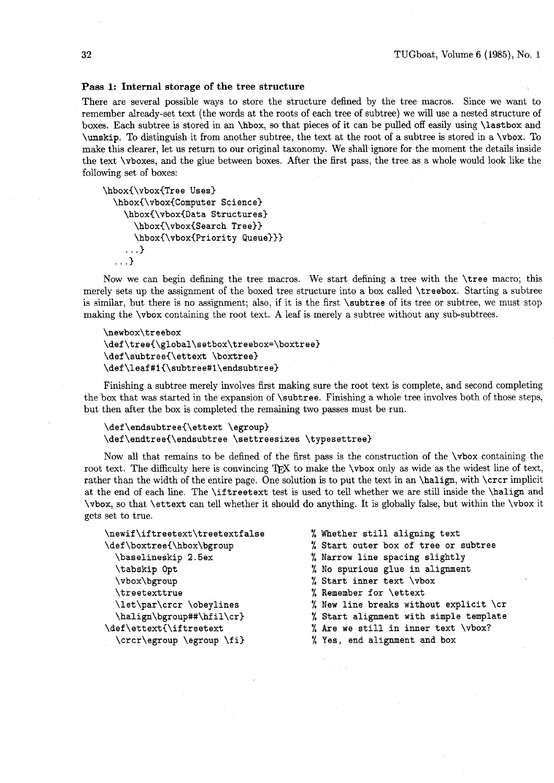## **Pass 1: Internal storage of the tree structure**

There are several possible ways to store the structure defined by the tree macros. Since we want to remember already-set text (the words at the roots of each tree of subtree) we will use a nested structure of boxes. Each subtree is stored in an **\hbox,** so that pieces of it can be pulled off easily using **\lastbox** and **\unskip.** To distinguish it from another subtree, the text at the root of a subtree is stored in a **\vbox.** To make this clearer, let us return to our original taxonomy. We shall ignore for the moment the details inside the text **\vboxes,** and the glue between boxes. After the first pass, the tree as a whole would look like the following set of boxes:

```
\hbox(\vbox(Tree Uses) 
  \hbox~\vbox(Comput er Science) 
    \hbox(\vbox(Data Structures) 
      \hbox(\vbox(Search Tree33 
      \hbox(\vbox(Priority Queue))) 
    . . .) 
  . . .)
```
Now we can begin defining the tree macros. We start defining a tree with the **\tree** macro; this merely sets up the assignment of the boxed tree structure into a box called **\treebox.** Starting a subtree is similar, but there is no assignment; also, if it is the first **\subtree** of its tree or subtree, we must stop making the **\vbox** containing the root text. A leaf is merely a subtree without any sub-subtrees.

```
\newbox\treebox
\def\tree{\global\setbox\treebox=\boxtree}
\def\subtree{\ettext \boxtree}
\def\leaf#1{\subtree#1\endsubtree}
```
Finishing a subtree merely involves first making sure the root text is complete, and second completing the box that was started in the expansion of **\subtree.** Finishing a whole tree involves both of those steps, but then after the box is completed the remaining two passes must be run.

```
\def\endsubtree{\ettext \egroup}
\def\endtree{\endsubtree \settreesizes \typesettree}
```
Now all that remains to be defined of the first pass is the construction of the **\vbox** containing the root text. The difficulty here is convincing TFX to make the **\vbox** only as wide as the widest line of text, rather than the width of the entire page. One solution is to put the text in an **\halip,** with **\crcr** implicit at the end of each line. The **\iftreetext** test is used to tell whether we are still inside the **\halip** and **\vbox,** so that **\ettext** can tell whether it should do anything. It is globally false, but within the **\vbox** it gets set to true.

| \newif\iftreetext\treetextfalse | % Whether still aligning text          |
|---------------------------------|----------------------------------------|
| \def\boxtree{\hbox\bgroup       | % Start outer box of tree or subtree   |
| \baselineskip 2.5ex             | % Narrow line spacing slightly         |
| \tabskip Opt                    | % No spurious glue in alignment        |
| \vbox\bgroup                    | % Start inner text \vbox               |
| <b>\treetexttrue</b>            | % Remember for \ettext                 |
| \let\par\crcr \obeylines        | % New line breaks without explicit \cr |
| \halign\bgroup##\hfil\cr}       | % Start alignment with simple template |
| \def\ettext{\iftreetext         | % Are we still in inner text \vbox?    |
| \crcr\egroup \egroup \fi}       | % Yes, end alignment and box           |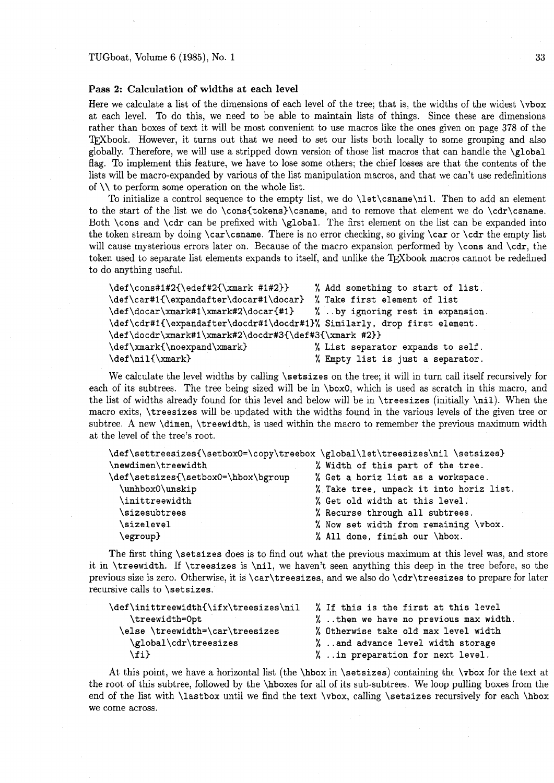## **Pass 2: Calculation of widths at each level**

Here we calculate a list of the dimensions of each level of the tree; that is, the widths of the widest \vbox at each level. To do this, we need to be able to maintain lists of things. Since these are dimensions rather than boxes of text it will be most convenient to use macros like the ones given on page 378 of the TFXbook. However, it turns out that we need to set our lists both locally to some grouping and also globally. Therefore, we will use a stripped down version of those list macros that can handle the \global flag. To implement this feature, we have to lose some others; the chief losses are that the contents of the lists will be macro-expanded by various of the list manipulation macros, and that we can't use redefinitions of  $\setminus \setminus$  to perform some operation on the whole list.

To initialize a control sequence to the empty list, we do \let\csname\nil. Then to add an element to the start of the list we do \cons(tokens)\csname, and to remove that element we do \cdr\csname. Both \cons and \cdr can be prefixed with \global. The first element on the list can be expanded into the token stream by doing  $\car\csname$ . There is no error checking, so giving  $\car$  or  $\catr$  the empty list will cause mysterious errors later on. Because of the macro expansion performed by \cons and \cdr, the token used to separate list elements expands to itself, and unlike the 'QXbook macros cannot be redefined to do anything useful.

| \def\cons#1#2{\edef#2{\xmark #1#2}}                                      | % Add something to start of list. |
|--------------------------------------------------------------------------|-----------------------------------|
| \def\car#1{\expandafter\docar#1\docar}                                   | % Take first element of list      |
| \def\docar\xmark#1\xmark#2\docar{#1} %by ignoring rest in expansion.     |                                   |
| \def\cdr#1{\expandafter\docdr#1\docdr#1}% Similarly, drop first element. |                                   |
| \def\docdr\xmark#1\xmark#2\docdr#3{\def#3{\xmark #2}}                    |                                   |
| \def\xmark{\noexpand\xmark}                                              | % List separator expands to self. |
| $\def\ni1{\xmark}$                                                       | % Empty list is just a separator. |

We calculate the level widths by calling \setsizes on the tree; it will in turn call itself recursively for each of its subtrees. The tree being sized will be in \boxO, which is used as scratch in this macro, and the list of widths already found for this level and below will be in \treesizes (initially \nil). When the macro exits, \treesizes will be updated with the widths found in the various levels of the given tree or subtree. A new \dimen, \treewidth, is used within the macro to remember the previous maximum width at the level of the tree's root.

| \def\settreesizes{\setbox0=\copy\treebox \global\let\treesizes\nil \setsizes} |                                         |  |  |
|-------------------------------------------------------------------------------|-----------------------------------------|--|--|
| \newdimen\treewidth                                                           | % Width of this part of the tree.       |  |  |
| \def\setsizes{\setbox0=\hbox\bgroup                                           | % Get a horiz list as a workspace.      |  |  |
| \unhbox0\unskip                                                               | % Take tree, unpack it into horiz list. |  |  |
| \inittreewidth                                                                | % Get old width at this level.          |  |  |
| \sizesubtrees                                                                 | % Recurse through all subtrees.         |  |  |
| \sizelevel                                                                    | % Now set width from remaining \vbox.   |  |  |
| \egroup}                                                                      | % All done, finish our \hbox.           |  |  |

The first thing \setsizes does is to find out what the previous maximum at this level was, and store it in \treewidth. If \treesizes is \nil, we haven't seen anything this deep in the tree before, so the previous size is zero. Otherwise, it is \car\treesizes, and we also do \cdr\treesizes to prepare for later recursive calls to \setsizes.

| \def\inittreewidth{\ifx\treesizes\nil | % If this is the first at this level   |
|---------------------------------------|----------------------------------------|
| \treewidth=0pt                        | %. then we have no previous max width. |
| \else \treewidth=\car\treesizes       | % Otherwise take old max level width   |
| \global\cdr\treesizes                 | % and advance level width storage      |
| $\{f_i\}$                             | % in preparation for next level.       |

At this point, we have a horizontal list (the  $\hbar \text{sech}$ ) containing the  $\text{vebox}$  for the text at the root of this subtree, followed by the \hboxes for all of its sub-subtrees. We loop pulling boxes from the end of the list with \lastbox until we find the text \vbox, calling \setsizes recursively for each \hbox we come across.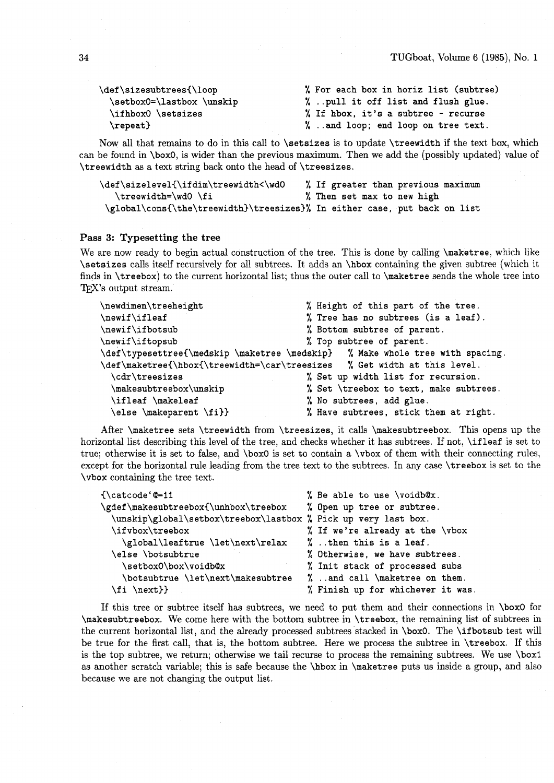| \def\sizesubtrees{\loop   | % For each box in horiz list (subtree) |
|---------------------------|----------------------------------------|
| \setbox0=\lastbox \unskip | %pull it off list and flush glue.      |
| \ifhbox0 \setsizes        | % If hbox, it's a subtree - recurse    |
| $\text{repeat}$           | % and loop; end loop on tree text.     |

Now all that remains to do in this call to \setsizes is to update \treewidth if the text box, which can be found in \boxO, is wider than the previous maximum. Then we add the (possibly updated) value of \treewidth as a text string back onto the head of \treesizes.

| \def\sizelevel{\ifdim\treewidth<\wd0                                      |  | % If greater than previous maximum |  |  |  |
|---------------------------------------------------------------------------|--|------------------------------------|--|--|--|
| \treewidth=\wd0\fi                                                        |  | % Then set max to new high         |  |  |  |
| \global\cons{\the\treewidth}\treesizes}% In either case, put back on list |  |                                    |  |  |  |

#### **Pass 3: Typesetting the tree**

We are now ready to begin actual construction of the tree. This is done by calling \maketree, which like \setsizes calls itself recursively for all subtrees. It adds an \hbox containing the given subtree (which it finds in \treebox) to the current horizontal list; thus the outer call to \maketree sends the whole tree into T<sub>F</sub>X's output stream.

| \newdimen\treeheight    | % Height of this part of the tree.                                            |
|-------------------------|-------------------------------------------------------------------------------|
| $\newline$              | % Tree has no subtrees (is a leaf).                                           |
| \newif\ifbotsub         | % Bottom subtree of parent.                                                   |
| \newif\iftopsub         | % Top subtree of parent.                                                      |
|                         | \def\typesettree{\medskip \maketree \medskip} % Make whole tree with spacing. |
|                         | \def\maketree{\hbox{\treewidth=\car\treesizes % Get width at this level.      |
| \cdr\treesizes          | % Set up width list for recursion.                                            |
| \makesubtreebox\unskip  | % Set \treebox to text, make subtrees.                                        |
| \ifleaf \makeleaf       | % No subtrees, add glue.                                                      |
| \else \makeparent \fi}} | % Have subtrees, stick them at right.                                         |

After \maketree sets \treewidth from \treesizes, it calls \makesubtreebox. This opens up the horizontal list describing this level of the tree, and checks whether it has subtrees. If not, **\ifleaf** is set to true; otherwise it is set to false, and \box0 is set to contain a \vbox of them with their connecting rules, except for the horizontal rule leading from the tree text to the subtrees. In any case \treebox is set to the \vbox containing the tree text.

| $\{\text{catoode}'$ $@=11$                                     | % Be able to use \voidb@x.        |
|----------------------------------------------------------------|-----------------------------------|
| \gdef\makesubtreebox{\unhbox\treebox                           | % Open up tree or subtree.        |
| \unskip\global\setbox\treebox\lastbox % Pick up very last box. |                                   |
| \ifvbox\treebox                                                | % If we're already at the \vbox   |
| \global\leaftrue \let\next\relax                               | $\%$ . then this is a leaf.       |
| \else \botsubtrue                                              | % Otherwise, we have subtrees.    |
| \setbox0\box\voidb@x                                           | % Init stack of processed subs    |
| \botsubtrue \let\next\makesubtree                              | % and call \maketree on them.     |
| \fi \next}}                                                    | % Finish up for whichever it was. |

If this tree or subtree itself has subtrees, we need to put them and their connections in \box0 for \makesubtreebox. We come here with the bottom subtree in \treebox, the remaining list of subtrees in the current horizontal list, and the already processed subtrees stacked in \boxO. The \ifbotsub test will be true for the first call, that is, the bottom subtree. Here we process the subtree in \treebox. If this is the top subtree, we return; otherwise we tail recurse to process the remaining subtrees. We use \box1 as another scratch variable; this is safe because the \hbox in \maketree puts us inside a group, and also because we are not changing the output list.